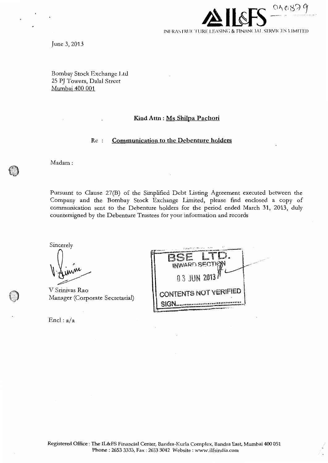

June 3, 2013

Bombay Stock Exchange **Ltt!**  25 PJ Towers, Dalal Street Mumbai 400 001

## **Kind Attn : Ms Shilpa Pachori**

## Rc **Communication to the Debenture holders**

Madam:

Pursuant to Clause 27(B) of the Simplified Debt Listing Agreement executed between the Company and the Bombay Stock Exchange Limited, please fmd enclosed a copy of communication sent to the Debenture holders for the period ended March 31, 2013, duly countersigned by the Debenture Trustees for your information and records

Sincerely

V Srinivas Rao Manager (Corporate Secretarial)

 $\text{End}: a/a$ 

| $C_{\text{unr},\lambda}$<br>INWARD SECTION<br>$0.3$ JUN 2013 $N$ |
|------------------------------------------------------------------|
| <b>CONTENTS NOT VERIFIED</b>                                     |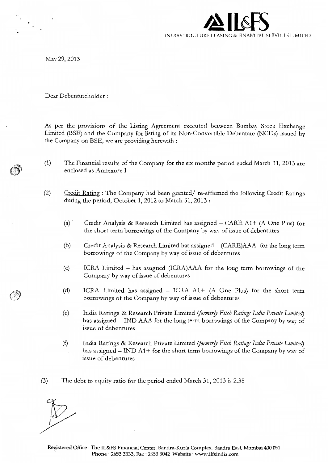

May 29,2013

Dear Debentureholder :

As per the provisions of the Listing Agreement executed between Bombay Stock Exchange Limited (BSE) and the Company for listing of its Non-Convertible Debenture (NCDs) issued by the Company on BSE, we arc providing herewith :

- (1) The Financial results of the Company for the six months period ended March 31, 2013 are enclosed as Annexure I
- $(2)$  Credit Rating : The Company had been granted/ re-affirmed the following Credit Ratings during the period, October 1, 2012 to March 31, 2013:
	- (a) Credit Analysis & Research Limited has assigned  $-$  CARE A1+ (A One Plus) for the short term borrowings of the Company by way of issue of debentures
	- (b) Credit Analysis & Research Limited has assigned- (CARE)AAA for the long term borrowings of the Company by way of issue of debentures
	- (c) ICRA Limited has assigned (ICRA)AAA for the long term borrowings of the Company by way of issue of debentures
	- (d) ICRA Limited has assigned ICRA At+ (A One Plus) for the short term borrowings of the Company by way of issue of debentures
	- (e) India Ratings & Research Private Limited *iformerjy Fztch Ratings India Private Limited)*  has assigned - IND AAA for the long term borrowings of the Company by way of issue of debentures
	- (f) India Ratings & Research Private Limited *iformerj)' Fitch Ratings India Private Limited)*  has assigned  $-$  IND A1+ for the short term borrowings of the Company by way of issue of debentures
- (3) The debt to equity ratio for the period ended March 31, 2013 is 2.38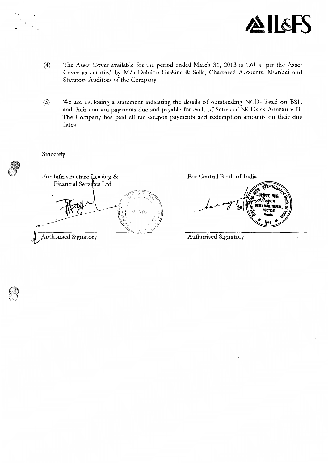

- (4) The Asset Cover available for the period ended March 31, 2013 is 1.61 as per the Asset Cover as certified by M/s Deloitte Haskins & Sells, Chartered Accounts, Mumbai and Statutory Auditors of the Company
- (5) We are enclosing a statement indicating the details of outstanding NCDs listed on BSE and their coupon payments due and payable for each of Series of NCDs as Annexure II. The Company has paid all the coupon payments and redemption amounts on their due dates

Sincerely

For Infrastructure Leasing & Financial Services Ltd KOBA)

Authorised Signatory

For Central Bank of India

**TRUSTER** 

Authorised Signatory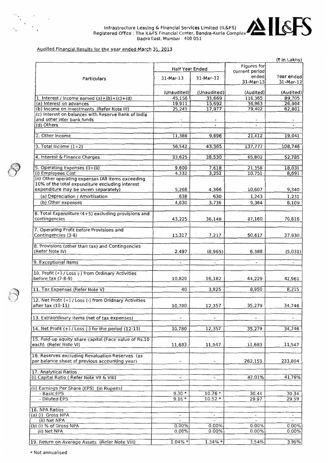

### Audited Financial Results for the year ended March 31, 2013

|                                                                                                       |                          |                          |                                      | (१ in Lakhs)             |
|-------------------------------------------------------------------------------------------------------|--------------------------|--------------------------|--------------------------------------|--------------------------|
|                                                                                                       | Half Year Ended          |                          | <b>Figures for</b><br>current period |                          |
| Particulars                                                                                           | 31-Mar-13                | 31-Mar-12                | ended<br>31-Mar-13                   | Year ended<br>31-Mar-12  |
|                                                                                                       | (Unaudited)              | (Unaudited)              | (Audited)                            | (Audited)                |
| 1. Interest / Income earned $(a)+(b)+(c)+(d)$                                                         | 45,156                   | 33,669                   | 116,365                              | 89,705                   |
| (a) Interest on advances                                                                              | 19,911                   | 15,692                   | 36,963                               | 26,904                   |
| (b) Income on investments (Refer Note III)                                                            | 25,245                   | 17,977                   | 79,402                               | 62,801                   |
| (c) Interest on balances with Reserve Bank of India<br>and other inter bank funds                     | $\overline{\phantom{a}}$ |                          |                                      |                          |
| (d) Others                                                                                            |                          |                          |                                      |                          |
| 2. Other Income                                                                                       | 11,386                   | 9,696                    | 21,412                               | 19,041                   |
| 3. Total Income $(1+2)$                                                                               | 56,542                   | 43,365                   | 137,777                              | 108,746                  |
| 4. Interest & Finance Charges                                                                         | 33,625                   | 28,530                   | 65,802                               | 52,785                   |
| 5. Operating Expenses (i)+(ii)                                                                        | 9,600                    | 7,618                    | 21,358                               | 18,031                   |
| (i) Employees Cost                                                                                    | 4,332                    | 3,252                    | 10,751                               | 8,691                    |
| (ii) Other operating expenses (All items exceeding<br>10% of the total expenditure excluding interest |                          |                          |                                      |                          |
| expenditure may be shown separately)                                                                  | 5,268                    | 4,366                    | 10,607                               | 9,340                    |
| (a) Depreciation / Amortisation                                                                       | 638                      | 630                      | 1,243                                | 1,231                    |
| (b) Other expenses                                                                                    | 4,630                    | 3,736                    | 9,364                                | 8,109                    |
|                                                                                                       |                          |                          |                                      |                          |
| 6. Total Expenditure (4+5) excluding provisions and<br>contingencies                                  | 43,225                   | 36,148                   | 87,160                               | 70,816                   |
| 7. Operating Profit before Provisions and                                                             |                          |                          |                                      |                          |
| Contingencies (3-6)                                                                                   | 13,317                   | 7,217                    | 50,617                               | 37,930                   |
| 8. Provisions (other than tax) and Contingencies                                                      |                          |                          |                                      |                          |
| (Refer Note IV)                                                                                       | 2,497                    | (8,965)                  | 6,388                                | (5,031)                  |
| 9. Exceptional Items                                                                                  |                          |                          | $\overline{\phantom{a}}$             |                          |
| 10. Profit (+) / Loss (-) from Ordinary Activities                                                    |                          |                          |                                      |                          |
| before $tax(7-8-9)$                                                                                   | 10,820                   | 16,182                   | 44,229                               | 42,961                   |
| $\overline{\phantom{a}}$<br>11. Tax Expenses (Refer Note V)                                           | 40                       | 3,825                    | 8,950                                | 8,215                    |
| 12. Net Profit (+) / Loss (-) from Oridnary Activities<br>after tax (10-11)                           | 10,780                   | 12,357                   | 35,279                               | 34,746                   |
| 13. Extraordinary items (net of tax expenses)                                                         | $\overline{\phantom{a}}$ | $\overline{\phantom{a}}$ | $\overline{\phantom{a}}$             | $\tilde{\phantom{a}}$    |
| 14. Net Profit $(+)$ / Loss $(-)$ for the period $(12-13)$                                            | 10,780                   | 12,357                   | 35,279                               | 34,746                   |
| 15. Paid-up equity share capital (Face value of Rs.10                                                 |                          |                          |                                      |                          |
| each) (Refer Note VI)                                                                                 | 11,683                   | 11,547                   | 11,683                               | 11,547                   |
| 16. Reserves excluding Revaluation Reserves (as<br>per balance sheet of previous accounting year)     |                          |                          | 262,153                              | 233,804                  |
| 17. Analytical Ratios                                                                                 |                          |                          |                                      |                          |
| (i) Capital Ratio (Refer Note VII & VIII)                                                             | $\blacksquare$           | $\blacksquare$           | 42.01%                               | 41.79%                   |
| (ii) Earnings Per Share (EPS) (in Rupees)                                                             |                          |                          |                                      |                          |
| - Basic EPS<br>- Diluted EPS                                                                          | $9.30*$<br>$9.16*$       | $10.76*$<br>$10.52*$     | 30.44<br>29.97                       | 30.34<br>29.59           |
|                                                                                                       |                          |                          |                                      |                          |
| 18. NPA Ratios<br>(a) (i) Gross NPA                                                                   | $\overline{\phantom{a}}$ |                          |                                      | $\overline{\phantom{a}}$ |
| (ii) Net NPA                                                                                          | $\overline{a}$           |                          | $\overline{\phantom{a}}$             | $\blacksquare$           |
| (b) (i) % of Gross NPA                                                                                | 0.00%                    | 0.00%                    | 0.00%                                | $0.00\%$                 |
| (ii) Net NPA                                                                                          | 0.00%                    | 0.00%                    | 0.00%                                | 0.00%                    |
| 19. Return on Average Assets (Refer Note VIII)                                                        | $1.04\% *$               | 1.34% *                  | 3.54%                                | 3.96%                    |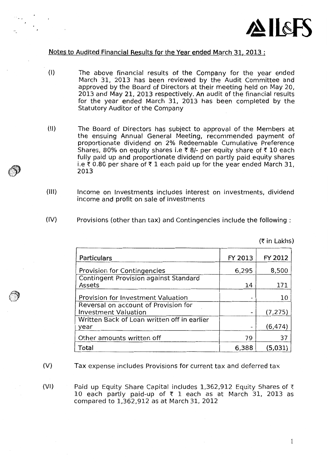

 $(†$ in Lakhs)

# Notes to Audited Financial Results for the Year ended March 31, 2013 :

- (I) The above financial results of the Company for the year ended March 31, 2013 has been reviewed by the Audit Committee and approved by the Board of Directors at their meeting held on May 20, 2013 and May 21, 2013 respectively. An audit of the financial results for the year ended March 31, 2013 has been completed by the Statutory Auditor of the Company
- (II) The Board of Directors has subject to approval of the Members at the ensuing Annual General Meeting, recommended payment of proportionate dividend on 2% Redeemable Cumulative Preference Shares, 80% on equity shares i.e  $\bar{\tau}$  8/- per equity share of  $\bar{\tau}$  10 each fully paid up and proportionate dividend on partly paid equity shares i.e  $\bar{x}$  0.80 per share of  $\bar{x}$  1 each paid up for the year ended March 31, 2013
- (Ill) Income on Investments includes interest on investments, dividend income and profit on sale of investments
- (IV) Provisions (other than tax) and Contingencies include the following :

| Particulars                                                         | FY 2013 | FY 2012  |
|---------------------------------------------------------------------|---------|----------|
| Provision for Contingencies                                         | 6,295   | 8,500    |
| <b>Contingent Provision against Standard</b>                        |         |          |
| Assets                                                              | 14      | 171      |
| <b>Provision for Investment Valuation</b>                           |         | 10       |
| Reversal on account of Provision for<br><b>Investment Valuation</b> |         | (7, 275) |
| Written Back of Loan written off in earlier<br>year                 |         | (6, 474) |
| Other amounts written off                                           | 79      | 37       |
| Total                                                               | 6,388   | (5,031)  |

(V) Tax expense includes Provisions for current tax and deferred tax

(VI) Paid up Equity Share Capital includes 1,362,912 Equity Shares of  $\bar{\tau}$ 10 each partly paid-up of  $\bar{\tau}$  1 each as at March 31, 2013 as compared to 1,362,912 as at March 31, 2012

 $\mathbf{I}$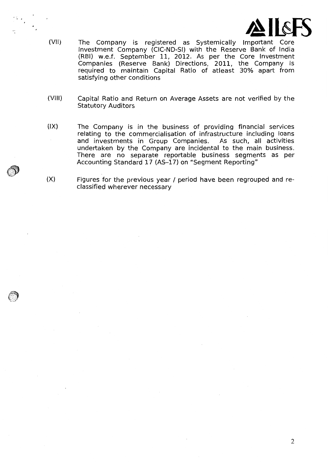

- (VII) The Company is registered as Systemically Important Core Investment Company (CIC-ND-SI) with the Reserve Bank of India (RBI) w.e.f. September 11, 2012. As per the Core Investment Companies (Reserve Bank) Directions, 2011, the Company is required to maintain Capital Ratio of atleast 30% apart from satisfying other conditions
- (VIII) Capital Ratio and Return on Average Assets are not verified by the Statutory Auditors
- $(IX)$ The Company is in the business of providing financial services relating to the commercialisation of infrastructure including loans and investments in Group Companies. As such, all activities undertaken by the Company are incidental to the main business. There are no separate reportable business segments as per Accounting Standard 17 (AS-17) on "Segment Reporting"
- (X) Figures for the previous year / period have been regrouped and reclassified wherever necessary